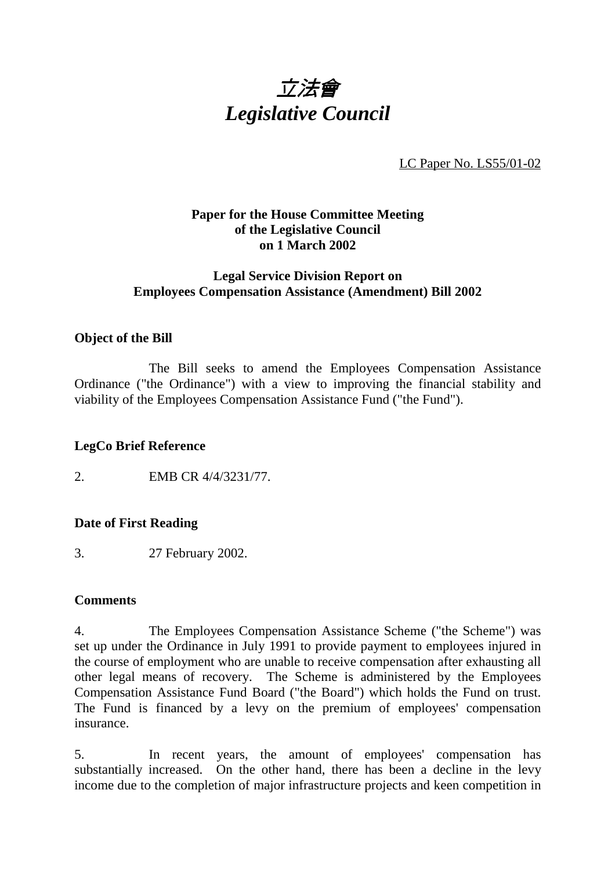

LC Paper No. LS55/01-02

# **Paper for the House Committee Meeting of the Legislative Council on 1 March 2002**

## **Legal Service Division Report on Employees Compensation Assistance (Amendment) Bill 2002**

## **Object of the Bill**

The Bill seeks to amend the Employees Compensation Assistance Ordinance ("the Ordinance") with a view to improving the financial stability and viability of the Employees Compensation Assistance Fund ("the Fund").

## **LegCo Brief Reference**

2. EMB CR 4/4/3231/77.

## **Date of First Reading**

3. 27 February 2002.

#### **Comments**

4. The Employees Compensation Assistance Scheme ("the Scheme") was set up under the Ordinance in July 1991 to provide payment to employees injured in the course of employment who are unable to receive compensation after exhausting all other legal means of recovery. The Scheme is administered by the Employees Compensation Assistance Fund Board ("the Board") which holds the Fund on trust. The Fund is financed by a levy on the premium of employees' compensation insurance.

5. In recent years, the amount of employees' compensation has substantially increased. On the other hand, there has been a decline in the levy income due to the completion of major infrastructure projects and keen competition in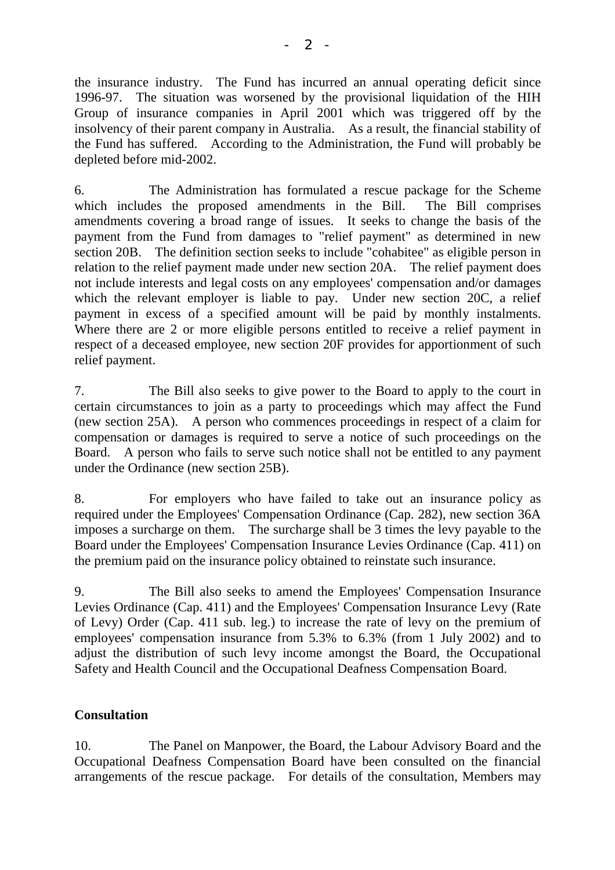the insurance industry. The Fund has incurred an annual operating deficit since 1996-97. The situation was worsened by the provisional liquidation of the HIH Group of insurance companies in April 2001 which was triggered off by the insolvency of their parent company in Australia. As a result, the financial stability of the Fund has suffered. According to the Administration, the Fund will probably be depleted before mid-2002.

6. The Administration has formulated a rescue package for the Scheme which includes the proposed amendments in the Bill. The Bill comprises amendments covering a broad range of issues. It seeks to change the basis of the payment from the Fund from damages to "relief payment" as determined in new section 20B. The definition section seeks to include "cohabitee" as eligible person in relation to the relief payment made under new section 20A. The relief payment does not include interests and legal costs on any employees' compensation and/or damages which the relevant employer is liable to pay. Under new section 20C, a relief payment in excess of a specified amount will be paid by monthly instalments. Where there are 2 or more eligible persons entitled to receive a relief payment in respect of a deceased employee, new section 20F provides for apportionment of such relief payment.

7. The Bill also seeks to give power to the Board to apply to the court in certain circumstances to join as a party to proceedings which may affect the Fund (new section 25A). A person who commences proceedings in respect of a claim for compensation or damages is required to serve a notice of such proceedings on the Board. A person who fails to serve such notice shall not be entitled to any payment under the Ordinance (new section 25B).

8. For employers who have failed to take out an insurance policy as required under the Employees' Compensation Ordinance (Cap. 282), new section 36A imposes a surcharge on them. The surcharge shall be 3 times the levy payable to the Board under the Employees' Compensation Insurance Levies Ordinance (Cap. 411) on the premium paid on the insurance policy obtained to reinstate such insurance.

9. The Bill also seeks to amend the Employees' Compensation Insurance Levies Ordinance (Cap. 411) and the Employees' Compensation Insurance Levy (Rate of Levy) Order (Cap. 411 sub. leg.) to increase the rate of levy on the premium of employees' compensation insurance from 5.3% to 6.3% (from 1 July 2002) and to adjust the distribution of such levy income amongst the Board, the Occupational Safety and Health Council and the Occupational Deafness Compensation Board.

## **Consultation**

10. The Panel on Manpower, the Board, the Labour Advisory Board and the Occupational Deafness Compensation Board have been consulted on the financial arrangements of the rescue package. For details of the consultation, Members may